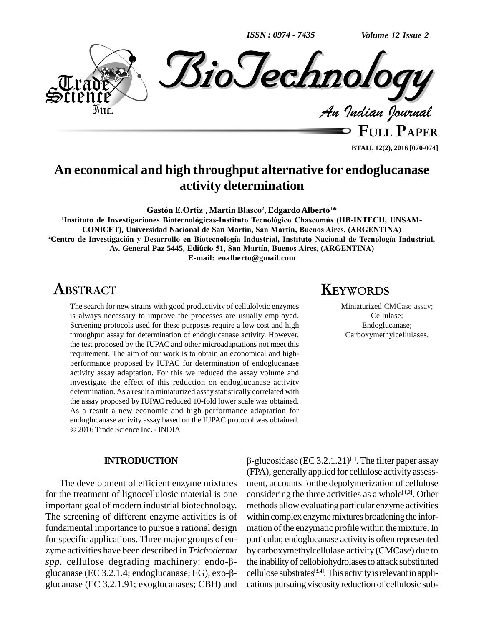*ISSN : 0974 - 7435*



**FULL PAPER BTAIJ, 12(2), 2016 [070-074]**

# **An economical and high throughput alternative for endoglucanase activity determination GastÛn E.Ortiz 1 , MartÌn Blasco 2 , EdgardoAlbert<sup>Û</sup> <sup>1</sup>\***

**<sup>1</sup>Instituto de Investigaciones BiotecnolÛgicas-Instituto TecnolÛgico Chascom˙s (IIB-INTECH, UNSAM- CONICET), Universidad Nacional de San MartÌn, San MartÌn, Buenos Aires, (ARGENTINA) <sup>2</sup>Centro de InvestigaciÛn <sup>y</sup> Desarrollo en BiotecnologÌa Industrial, Instituto Nacional de TecnologÌa Industrial,** ET), Universidad Nacional de San Martín, San Martín, Buenos Aires, (ARGENTIN<br>igación y Desarrollo en Biotecnología Industrial, Instituto Nacional de Tecnología<br>Av. General Paz 5445, Ediûcio 51, San Martín, Buenos Aires, (A **E-mail: [eoalberto@gmail.com](mailto:eoalberto@gmail.com)**

## **ABSTRACT**

The search for new strains with good productivity of cellulolytic enzymes is always necessary to improve the processes are usually employed. Screening protocols used for these purposes require a low cost and high throughput assay for determination of endoglucanase activity. However, the test proposed by the IUPAC and other microadaptations not meet this requirement. The aim of our work is to obtain an economical and high performance proposed by IUPAC for determination of endoglucanase activity assay adaptation. For this we reduced the assay volume and investigate the effect of this reduction on endoglucanase activity determination.As a result a miniaturized assay statistically correlated with the assay proposed by IUPAC reduced 10-fold lower scale was obtained. As a result a new economic and high performance adaptation for endoglucanase activity assay based on the IUPAC protocol was obtained. 2016 Trade Science Inc. - INDIA

#### **INTRODUCTION**

The development of efficient enzyme mixtures for the treatment of lignocellulosic material is one important goal of modern industrial biotechnology. The screening of different enzyme activities is of fundamental importance to pursue a rational design for specific applications. Three major groups of en zyme activities have been described in *Trichoderma* for specific applications. Three major groups of en-<br>zyme activities have been described in *Trichoderma* by c<br>*spp*. cellulose degrading machinery: endo-β- the zyme activities have been described in *Trichoderma* by c<br>spp. cellulose degrading machinery: endo- $\beta$ - the glucanase (EC 3.2.1.4; endoglucanase; EG), exo- $\beta$ - cell glucanase (EC 3.2.1.91; exoglucanases; CBH) and

### **KEYWORDS**

Miniaturized CMCase assay; Cellulase; Endoglucanase; Carboxymethylcellulases.

 (EC 3.2.1.21) **[1]**. The filter paper assay (FPA), generally applied forcellulose activity assess ment, accounts for the depolymerization of cellulose considering the three activities as a whole **[1,2]**. Other methods allow evaluating particular enzyme activities within complex enzyme mixtures broadening the information of the enzymatic profile within the mixture. In particular, endoglucanase activityis often represented by carboxymethylcellulase activity (CMCase) due to the inabilityof cellobiohydrolasesto attack substituted cellulose substrates<sup>[3,4]</sup>. This activity is relevant in applications pursuing viscosity reduction of cellulosic sub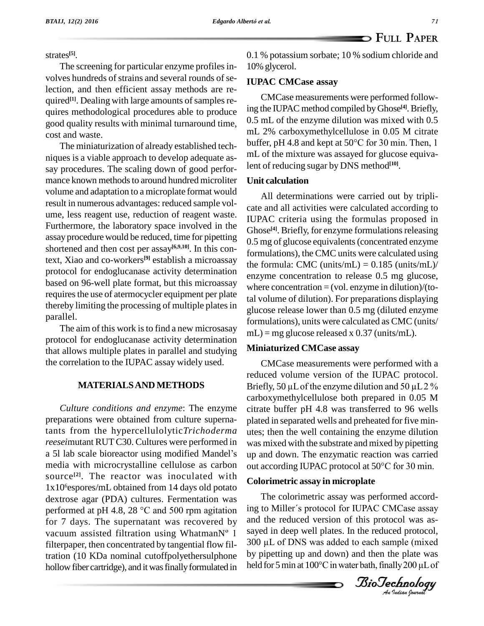strates **[5]**.

The screening for particular enzyme profiles involves hundreds of strains and several rounds of selection, and then efficient assay methods are re quired<sup>[1]</sup>. Dealing with large amounts of samples requires methodological procedures able to produce good quality results with minimal turnaround time, cost and waste.

niques is a viable approach to develop adequate as say procedures. The scaling down of good perfor mance known methods to around hundred microliter volume and adaptation to a microplate format would result in numerous advantages: reduced sample vol ume, less reagent use, reduction of reagent waste. Furthermore, the laboratory space involved in the assay procedure would be reduced, time for pipetting shortened and then cost per assay<sup>[6,9,10]</sup>. In this context, Xiao and co-workers **[9]** establish a microassay protocol for endoglucanase activity determination based on 96-well plate format, but this microassay requires the use of atermocycler equipment per plate thereby limiting the processing of multiple plates in parallel.

The aim of this work is to find a new microsasay protocol for endoglucanase activity determination that allows multiple plates in parallel and studying the correlation to the IUPAC assay widely used.

#### **MATERIALSAND METHODS**

*Culture conditions and enzyme*: The enzyme preparations were obtained from culture supernatants from the hypercellulolytic*Trichoderma reesei*mutant RUTC30. Cultures were performed in a 5l lab scale bioreactor using modified Mandel's media with microcrystalline cellulose as carbon out according IUPAC protocol at 50°C for 30 min. source<sup>[2]</sup>. The reactor was inoculated with  $C$ 1x10<sup>6</sup>espores/mL obtained from 14 days old potato<br>dextrose agar (PDA) cultures. Fermentation was The<br>performed at pH 4.8, 28 °C and 500 rpm agitation ing to dextrose agar (PDA) cultures. Fermentation was for 7 days. The supernatant was recovered by performed at pH 4.8, 28  $^{\circ}$ C and 500 rpm agitation<br>for 7 days. The supernatant was recovered by<br>vacuum assisted filtration using WhatmanN<sup>o</sup> 1 filterpaper, then concentrated by tangential flow filtration (10 KDa nominal cutoffpolyethersulphone hollow fiber cartridge), and it was finally formulated in

0.1 % potassium sorbate; 10 % sodium chloride and 10% glycerol.

#### **IUPAC CMCase assay**

The miniaturization of already established tech-<br>buffer, pH 4.8 and kept at 50°C for 30 min. Then, 1 CMCase measurements were performed following the IUPAC method compiled byGhose **[4]**.Briefly, 0.5 mL of the enzyme dilution was mixed with 0.5 mL 2% carboxymethylcellulose in 0.05 M citrate 0.5 mL of the enzyme dilution was mixed with 0.5 mL 2% carboxymethylcellulose in 0.05 M citrate buffer, pH 4.8 and kept at 50 $^{\circ}$ C for 30 min. Then, 1 mL of the mixture was assayed for glucose equivalent of reducing sugar by DNS method **[10]**.

#### **Unit calculation**

All determinations were carried out by tripli cate and all activities were calculated according to IUPAC criteria using the formulas proposed in Ghose<sup>[4]</sup>. Briefly, for enzyme formulations releasing 0.5 mg of glucose equivalents(concentrated enzyme formulations), the CMC units were calculated using the formula: CMC (units/mL) =  $0.185$  (units/mL)/ enzyme concentration to release 0.5 mg glucose, where concentration  $=$  (vol. enzyme in dilution)/(total volume of dilution). For preparations displaying glucose release lower than 0.5 mg (diluted enzyme formulations), units were calculated as CMC (units/  $mL$ ) = mg glucose released x 0.37 (units/mL).

#### **Miniaturized CMCase assay**

CMCase measurements were performed with a reduced volume version of the IUPAC protocol. Briefly, 50  $\mu$ L of the enzyme dilution and 50  $\mu$ L 2 % carboxymethylcellulose both prepared in 0.05 M citrate buffer pH 4.8 was transferred to 96 wells plated in separated wells and preheated for five min utes; then the well containing the enzyme dilution was mixed with the substrate and mixed by pipetting out according IUPAC protocol at <sup>50</sup>°C for <sup>30</sup> min. up and down. The enzymatic reaction was carried

#### **Colorimetric assay in microplate**

The colorimetric assay was performed accordsayed in deep well plates. In the reduced protocol, held for 5 min at 100°C in water bath, finally 200 µL of<br>*Iio Technology* ing to Miller's protocol for IUPAC CMCase assay and the reduced version of this protocol was asand the reduced version of this protocol was as-<br>sayed in deep well plates. In the reduced protocol,<br>300 µL of DNS was added to each sample (mixed by pipetting up and down) and then the plate was 300  $\mu$ L of DNS was added to each sample (mixed<br>by pipetting up and down) and then the plate was<br>held for 5 min at 100°C in water bath, finally 200  $\mu$ L of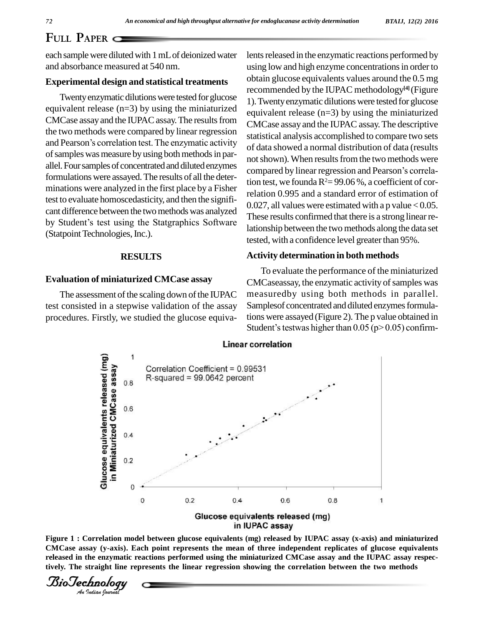### **FULL PAPER**

each sample were diluted with 1 mL of deionized water and absorbance measured at 540 nm.

#### **Experimental design and statistical treatments**

Twenty enzymatic dilutions were tested for glucose equivalent release (n=3) by using the miniaturized CMCase assay and the IUPAC assay. The results from the two methods were compared by linear regression and Pearson's correlation test. The enzymatic activity of samples was measure by using both methods in parallel. Four samples of concentrated and diluted enzymes formulations were assayed.The results of all the deter minations were analyzed in the first place by a Fisher test to evaluate homoscedasticity, and then the signifi-<br>cant difference between the two methods was analyzed<br>by Student's test using the Statgraphics Software cant difference between the two methods was analyzed (Statpoint Technologies, Inc.).

#### **RESULTS**

#### **Evaluation of miniaturized CMCase assay**

The assessment of the scaling down of the IUPAC test consisted in a stepwise validation of the assay procedures. Firstly, we studied the glucose equivalents released in the enzymatic reactions performed by using low and high enzyme concentrations in order to obtain glucose equivalents values around the 0.5 mg recommended by the IUPAC methodology **[4]** (Figure 1).Twentyenzymatic dilutions were tested forglucose equivalent release (n=3) by using the miniaturized CMCase assay and the IUPAC assay.The descriptive statistical analysis accomplished to compare two sets of data showed a normal distribution of data (results not shown). When results from the two methods were compared by linear regression and Pearson's correlation test, we founda  $R^2 = 99.06\%$ , a coefficient of correlation 0.995 and a standard error of estimation of 0.027, all values were estimated with a p value  $< 0.05$ . These results confirmed that there is a strong linear relationship between the two methods along the data set tested, with a confidence level greater than 95%.

#### **Activity determination in both methods**

To evaluate the performance of the miniaturized CMCaseassay, the enzymatic activity of samples was measuredby using both methods in parallel. Samplesof concentrated and diluted enzymes formulations were assayed (Figure 2). The p value obtained in Student's testwas higher than  $0.05$  (p>  $0.05$ ) confirmtions were assayed (Figure 2). The p value obtained in



*Iorrelation m*<br>say (y-axis).<br>the enzymatic<br>*Indian bournal* **Figure 1 : Correlation model between glucose equivalents (mg) released by IUPAC assay (x-axis) and miniaturized CMCase assay (y-axis). Each point represents the mean of three independent replicates of glucose equivalents released in the enzymatic reactions performed using the miniaturized CMCase assay and the IUPAC assay respectively. The straight line represents the linear regression showing the correlation between the two methods**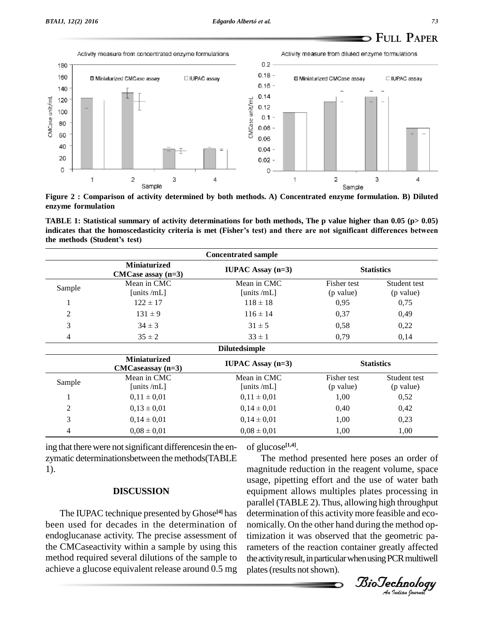CMCase unit/ml



**Figure 2 : Comparison of activity determined by both methods. A) Concentrated enzyme formulation. B) Diluted enzyme formulation**

TABLE 1: Statistical summary of activity determinations for both methods, The p value higher than 0.05 ( $p > 0.05$ ) enzyme formulation<br>TABLE 1: Statistical summary of activity determinations for both methods, The p value higher than 0.05 (p> 0.05)<br>indicates that the homoscedasticity criteria is met (Fisher's test) and there are not sign **the methods (Statistical summary of indicates that the homoscedasticit<br>the methods (Student's test)** 

| <b>Concentrated sample</b> |                                               |                            |                          |                           |  |
|----------------------------|-----------------------------------------------|----------------------------|--------------------------|---------------------------|--|
|                            | <b>Miniaturized</b><br>$CMCase$ assay $(n=3)$ | <b>IUPAC</b> Assay $(n=3)$ |                          | <b>Statistics</b>         |  |
| Sample                     | Mean in CMC<br>[units /mL]                    | Mean in CMC<br>[units /mL] | Fisher test<br>(p value) | Student test<br>(p value) |  |
| $\bf{I}$                   | $122 \pm 17$                                  | $118 \pm 18$               | 0,95                     | 0,75                      |  |
| $\mathfrak{2}$             | $131 \pm 9$                                   | $116 \pm 14$               | 0,37                     | 0,49                      |  |
| 3                          | $34 \pm 3$                                    | $31 \pm 5$                 | 0,58                     | 0,22                      |  |
| 4                          | $35 \pm 2$                                    | $33 \pm 1$                 | 0,79                     | 0,14                      |  |
|                            |                                               | <b>Dilutedsimple</b>       |                          |                           |  |
|                            | <b>Miniaturized</b><br>$CMCaseassay$ (n=3)    | <b>IUPAC</b> Assay $(n=3)$ | <b>Statistics</b>        |                           |  |
| Sample                     | Mean in CMC<br>[units /mL]                    | Mean in CMC<br>[units /mL] | Fisher test<br>(p value) | Student test<br>(p value) |  |
| 1                          | $0.11 \pm 0.01$                               | $0.11 \pm 0.01$            | 1,00                     | 0.52                      |  |
| $\overline{2}$             | $0,13 \pm 0,01$                               | $0.14 \pm 0.01$            | 0,40                     | 0,42                      |  |
| 3                          | $0.14 \pm 0.01$                               | $0.14 \pm 0.01$            | 1,00                     | 0,23                      |  |
| 4                          | $0.08 \pm 0.01$                               | $0.08 \pm 0.01$            | 1,00                     | 1,00                      |  |

ing that there were not significant differences in the enzymatic determinationsbetween themethods(TABLE 1).

#### **DISCUSSION**

The IUPAC technique presented by Ghose **[4]** has been used for decades in the determination of endoglucanase activity. The precise assessment of the CMCaseactivity within a sample by using this method required several dilutions of the sample to achieve a glucose equivalent release around 0.5 mg

of glucose **[1,4]**.

equipment allows multiples plates processing in<br>parallel (TABLE 2) Thus allowing high throughout *An*nomically. On the other hand during the method op-The method presented here poses an order of magnitude reduction in the reagent volume, space usage, pipetting effort and the use of water bath parallel (TABLE 2).Thus, allowing high throughput determination of this activity more feasible and ecotimization it was observed that the geometric parameters of the reaction container greatly affected the activity result, in particular when using PCR multiwell plates(results notshown).

*BioTechnology*<br>An Indian Journal